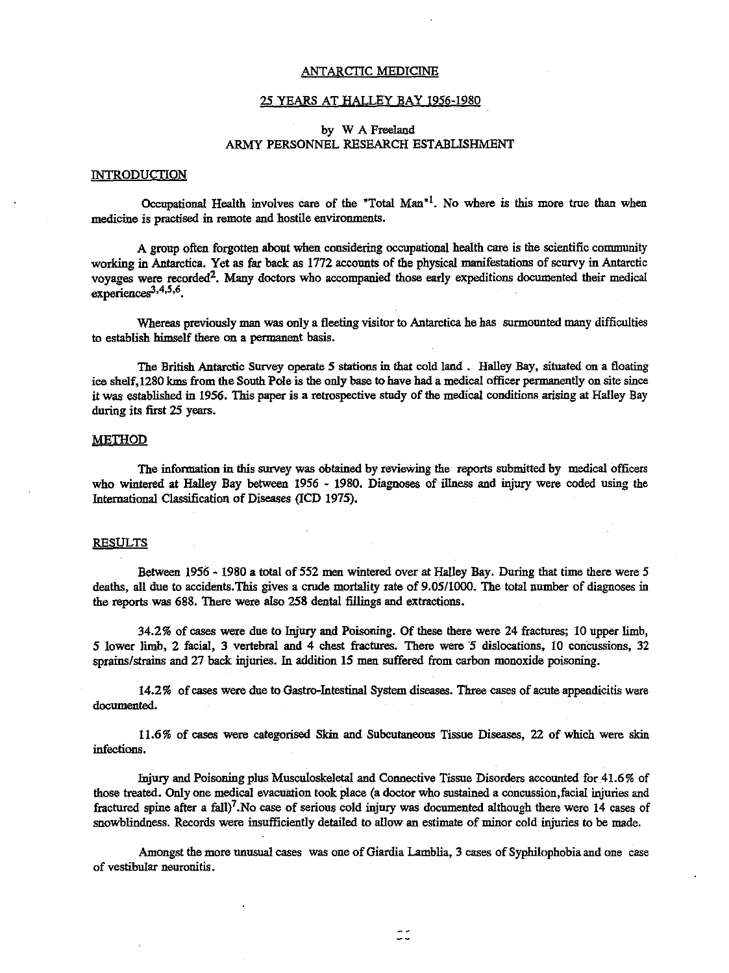#### ANTARCTIC MEDICINE

#### 25 YEARS AT HALLEY BAY 1956-1980

# by W A Freeland ARMY PERSONNEL RESEARCH ESTABUSHMENT

### **INTRODUCTION**

Occupational Health involves care of the 'Total Man'l. No where is this more true than when medicine is practised in remote and hostile environments.

A group often forgotten about when considering occupational health care is the scientific community working in Antarctica. Yet as far back as 1772 accounts of the physical manifestations of scurvy in Antarctic voyages were recorded2• Many doctors who accompanied those early expeditions documented their medical experienceg3,4,5,6.

Whereas previously man was only a fleeting visitor to Antarctica he has surmounted many difficulties to establish himself there on a permanent basis.

The British Antarctic Survey operate 5 stations in that cold land. Halley Bay, situated on a floating ice shelf,1280 kms from the South Pole is the only base to have had a medical officer permanently on site since it was established in 1956. This paper is a retrospective study of the medical conditions arising at Halley Bay during its first 25 years.

# METHOD

The information in this survey was obtained by reviewing the reports submitted by medical officers who wintered at HaIley Bay between 1956 - 1980. Diagnoses of illness and injury were coded using the International Classification of Diseases (lCD 1975).

# RESULTS

Between 1956· 1980 a total of 552 men wintered over at Halley Bay. During that time there were 5 deaths, all due to accidents.This gives a crude mortality rate of 9.05/1000. The total number of diagnoses in the reports was 688. There were also 258 dental fillings and extractions.

34.2% of cases were due to Injury and Poisoning. Of these there were 24 fractures; 10 upper limb, 5 lower limb, 2 facial, 3 vertebral and 4 chest fractures. There were 5 dislocations, 10 concussions, 32 sprains/strains and 27 back injuries. In addition 15 men suffered from carbon monoxide poisoning.

14.2% of cases were due to Gastro-Intestinal System diseases. Three cases of acute appendicitis were documented.

11.6% of cases were categorised Skin and Subcutaneous Tissue Diseases, 22 of which were skin infections.

Injury and Poisoning plus Musculoskeletal and Connective Tissue Disorders accounted for 41.6% of those treated. Only one medical evacuation took place (a doctor who sustained a concussion,facial injuries and fractured spine after a fall)<sup>7</sup>. No case of serious cold injury was documented although there were  $14$  cases of snowblindness. Records were insufficiently detailed to allow an estimate of minor cold injuries to be made.

Amongst the more unusual cases was one of Giardia Lamblia, 3 cases of Syphilophobia and one case of vestibular neuronitis.